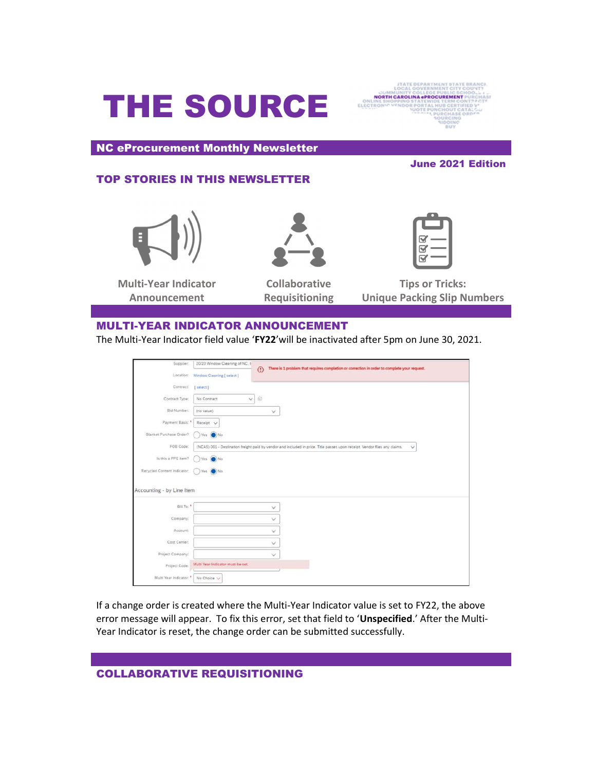# THE SOURCE



NC eProcurement Monthly Newsletter

# TOP STORIES IN THIS NEWSLETTER



Multi-Year Indicator Announcement



Collaborative Requisitioning

June 2021 Edition



Tips or Tricks: Unique Packing Slip Numbers

## MULTI-YEAR INDICATOR ANNOUNCEMENT

The Multi-Year Indicator field value 'FY22'will be inactivated after 5pm on June 30, 2021.

| Supplier:                   | 20/20 Window Cleaning of NC, I                                                                                                             | There is 1 problem that requires completion or correction in order to complete your request.<br>$\odot$ |  |
|-----------------------------|--------------------------------------------------------------------------------------------------------------------------------------------|---------------------------------------------------------------------------------------------------------|--|
|                             | Location: Window Cleaning [ select ]                                                                                                       |                                                                                                         |  |
| Contract:                   | [select]                                                                                                                                   |                                                                                                         |  |
| Contract Type:              | No Contract                                                                                                                                | $v \odot$                                                                                               |  |
| Bid Number:                 | (no value)                                                                                                                                 | $\checkmark$                                                                                            |  |
| Payment Basis: *            | Receipt V                                                                                                                                  |                                                                                                         |  |
| Blanket Purchase Order?     | Yes (O) No                                                                                                                                 |                                                                                                         |  |
| FOB Code:                   | (NCAS) 001 - Destination freight paid by vendor and included in price. Title passes upon receipt. Vendor files any claims.<br>$\checkmark$ |                                                                                                         |  |
| Is this a PPE item?         | Yes (A) No                                                                                                                                 |                                                                                                         |  |
| Recycled Content Indicator: | Yes (O) No                                                                                                                                 |                                                                                                         |  |
| Accounting - by Line Item   |                                                                                                                                            |                                                                                                         |  |
| Bill To: *                  |                                                                                                                                            | $\checkmark$                                                                                            |  |
| Company:                    |                                                                                                                                            | v.                                                                                                      |  |
| Account:                    |                                                                                                                                            | v                                                                                                       |  |
| Cost Center:                |                                                                                                                                            | $\vee$                                                                                                  |  |
| Project Company:            |                                                                                                                                            | $\checkmark$                                                                                            |  |
| Project Code:               | Multi Year Indicator must be set.                                                                                                          |                                                                                                         |  |
| Multi Year Indicator: *     | No Choice V                                                                                                                                |                                                                                                         |  |

If a change order is created where the Multi-Year Indicator value is set to FY22, the above error message will appear. To fix this error, set that field to 'Unspecified.' After the Multi-Year Indicator is reset, the change order can be submitted successfully.

# COLLABORATIVE REQUISITIONING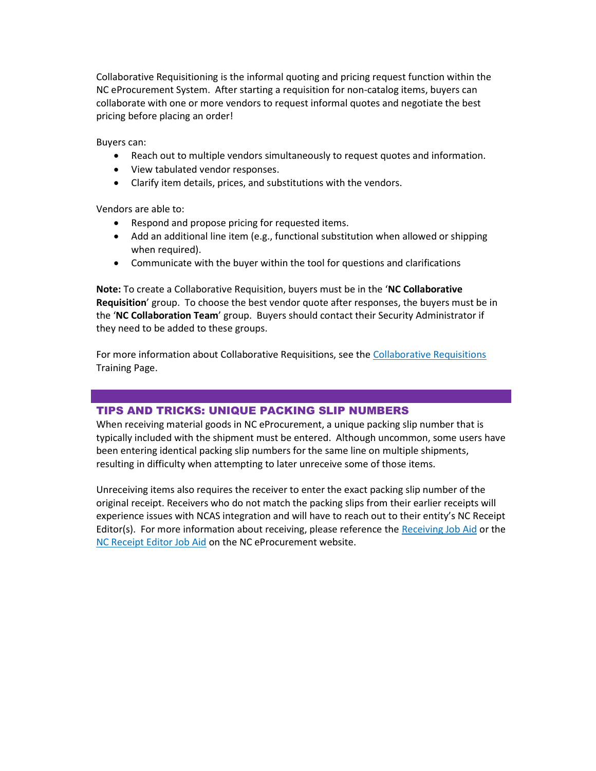Collaborative Requisitioning is the informal quoting and pricing request function within the NC eProcurement System. After starting a requisition for non-catalog items, buyers can collaborate with one or more vendors to request informal quotes and negotiate the best pricing before placing an order!

Buyers can:

- Reach out to multiple vendors simultaneously to request quotes and information.
- View tabulated vendor responses.
- Clarify item details, prices, and substitutions with the vendors.

Vendors are able to:

- Respond and propose pricing for requested items.
- Add an additional line item (e.g., functional substitution when allowed or shipping when required).
- Communicate with the buyer within the tool for questions and clarifications

Note: To create a Collaborative Requisition, buyers must be in the 'NC Collaborative Requisition' group. To choose the best vendor quote after responses, the buyers must be in the 'NC Collaboration Team' group. Buyers should contact their Security Administrator if they need to be added to these groups.

For more information about Collaborative Requisitions, see the Collaborative Requisitions Training Page.

## TIPS AND TRICKS: UNIQUE PACKING SLIP NUMBERS

When receiving material goods in NC eProcurement, a unique packing slip number that is typically included with the shipment must be entered. Although uncommon, some users have been entering identical packing slip numbers for the same line on multiple shipments, resulting in difficulty when attempting to later unreceive some of those items.

Unreceiving items also requires the receiver to enter the exact packing slip number of the original receipt. Receivers who do not match the packing slips from their earlier receipts will experience issues with NCAS integration and will have to reach out to their entity's NC Receipt Editor(s). For more information about receiving, please reference the Receiving Job Aid or the NC Receipt Editor Job Aid on the NC eProcurement website.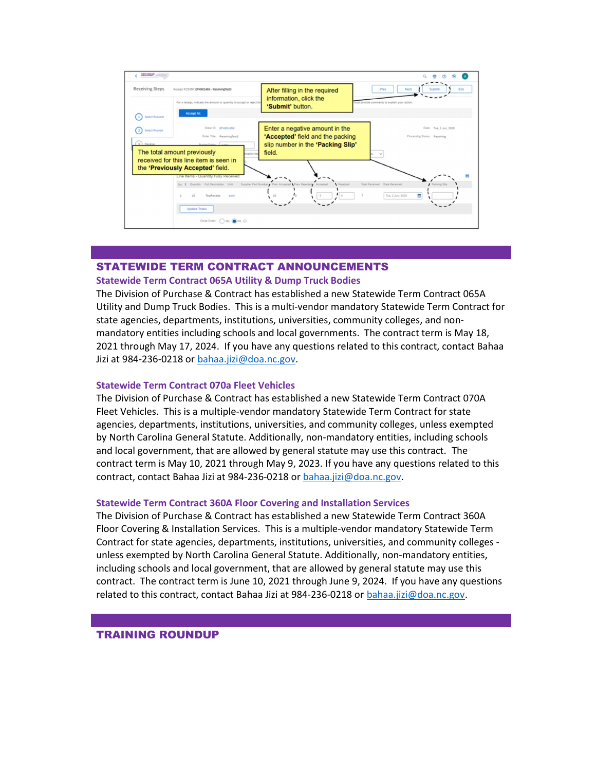

## STATEWIDE TERM CONTRACT ANNOUNCEMENTS

#### Statewide Term Contract 065A Utility & Dump Truck Bodies

The Division of Purchase & Contract has established a new Statewide Term Contract 065A Utility and Dump Truck Bodies. This is a multi-vendor mandatory Statewide Term Contract for state agencies, departments, institutions, universities, community colleges, and nonmandatory entities including schools and local governments. The contract term is May 18, 2021 through May 17, 2024. If you have any questions related to this contract, contact Bahaa Jizi at 984-236-0218 or bahaa.jizi@doa.nc.gov.

#### Statewide Term Contract 070a Fleet Vehicles

The Division of Purchase & Contract has established a new Statewide Term Contract 070A Fleet Vehicles. This is a multiple-vendor mandatory Statewide Term Contract for state agencies, departments, institutions, universities, and community colleges, unless exempted by North Carolina General Statute. Additionally, non-mandatory entities, including schools and local government, that are allowed by general statute may use this contract. The contract term is May 10, 2021 through May 9, 2023. If you have any questions related to this contract, contact Bahaa Jizi at 984-236-0218 or bahaa.jizi@doa.nc.gov.

#### Statewide Term Contract 360A Floor Covering and Installation Services

The Division of Purchase & Contract has established a new Statewide Term Contract 360A Floor Covering & Installation Services. This is a multiple-vendor mandatory Statewide Term Contract for state agencies, departments, institutions, universities, and community colleges unless exempted by North Carolina General Statute. Additionally, non-mandatory entities, including schools and local government, that are allowed by general statute may use this contract. The contract term is June 10, 2021 through June 9, 2024. If you have any questions related to this contract, contact Bahaa Jizi at 984-236-0218 or bahaa.jizi@doa.nc.gov.

## TRAINING ROUNDUP